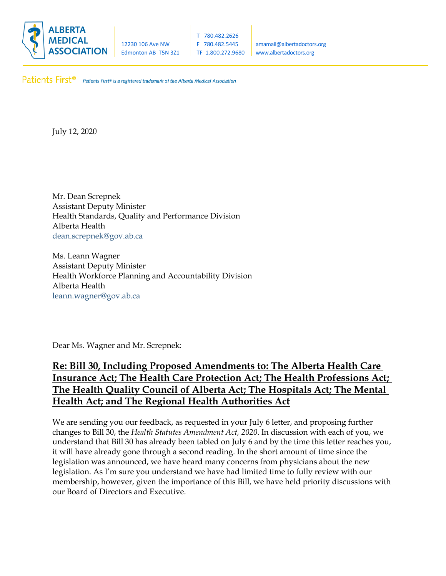

12230 106 Ave NW F 780.482.5445 | amamail@albertadoctors.org Edmonton AB T5N 3Z1 | TF 1.800.272.9680 | www.albertadoctors.org

Patients First® Patients First® is a registered trademark of the Alberta Medical Association.

July 12, 2020

Mr. Dean Screpnek Assistant Deputy Minister Health Standards, Quality and Performance Division Alberta Health dean.screpnek@gov.ab.ca

Ms. Leann Wagner Assistant Deputy Minister Health Workforce Planning and Accountability Division Alberta Health leann.wagner@gov.ab.ca

Dear Ms. Wagner and Mr. Screpnek:

# **Re: Bill 30, Including Proposed Amendments to: The Alberta Health Care Insurance Act; The Health Care Protection Act; The Health Professions Act; The Health Quality Council of Alberta Act; The Hospitals Act; The Mental Health Act; and The Regional Health Authorities Act**

We are sending you our feedback, as requested in your July 6 letter, and proposing further changes to Bill 30, the *Health Statutes Amendment Act, 2020*. In discussion with each of you, we understand that Bill 30 has already been tabled on July 6 and by the time this letter reaches you, it will have already gone through a second reading. In the short amount of time since the legislation was announced, we have heard many concerns from physicians about the new legislation. As I'm sure you understand we have had limited time to fully review with our membership, however, given the importance of this Bill, we have held priority discussions with our Board of Directors and Executive.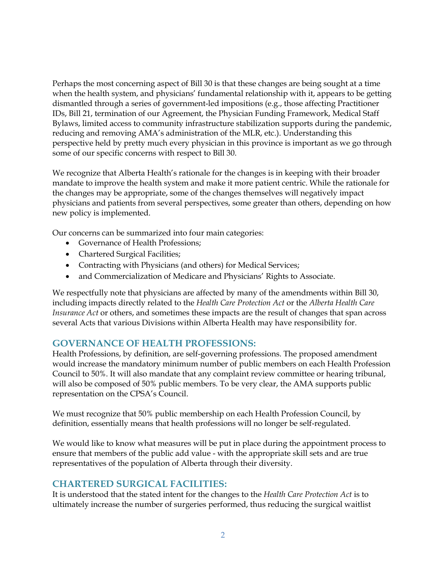Perhaps the most concerning aspect of Bill 30 is that these changes are being sought at a time when the health system, and physicians' fundamental relationship with it, appears to be getting dismantled through a series of government-led impositions (e.g., those affecting Practitioner IDs, Bill 21, termination of our Agreement, the Physician Funding Framework, Medical Staff Bylaws, limited access to community infrastructure stabilization supports during the pandemic, reducing and removing AMA's administration of the MLR, etc.). Understanding this perspective held by pretty much every physician in this province is important as we go through some of our specific concerns with respect to Bill 30.

We recognize that Alberta Health's rationale for the changes is in keeping with their broader mandate to improve the health system and make it more patient centric. While the rationale for the changes may be appropriate, some of the changes themselves will negatively impact physicians and patients from several perspectives, some greater than others, depending on how new policy is implemented.

Our concerns can be summarized into four main categories:

- Governance of Health Professions;
- Chartered Surgical Facilities;
- Contracting with Physicians (and others) for Medical Services;
- and Commercialization of Medicare and Physicians' Rights to Associate.

We respectfully note that physicians are affected by many of the amendments within Bill 30, including impacts directly related to the *Health Care Protection Act* or the *Alberta Health Care Insurance Act* or others, and sometimes these impacts are the result of changes that span across several Acts that various Divisions within Alberta Health may have responsibility for.

### **GOVERNANCE OF HEALTH PROFESSIONS:**

Health Professions, by definition, are self-governing professions. The proposed amendment would increase the mandatory minimum number of public members on each Health Profession Council to 50%. It will also mandate that any complaint review committee or hearing tribunal, will also be composed of 50% public members. To be very clear, the AMA supports public representation on the CPSA's Council.

We must recognize that 50% public membership on each Health Profession Council, by definition, essentially means that health professions will no longer be self-regulated.

We would like to know what measures will be put in place during the appointment process to ensure that members of the public add value - with the appropriate skill sets and are true representatives of the population of Alberta through their diversity.

#### **CHARTERED SURGICAL FACILITIES:**

It is understood that the stated intent for the changes to the *Health Care Protection Act* is to ultimately increase the number of surgeries performed, thus reducing the surgical waitlist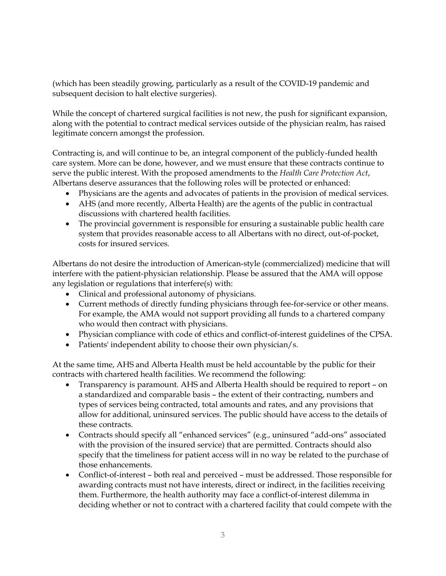(which has been steadily growing, particularly as a result of the COVID-19 pandemic and subsequent decision to halt elective surgeries).

While the concept of chartered surgical facilities is not new, the push for significant expansion, along with the potential to contract medical services outside of the physician realm, has raised legitimate concern amongst the profession.

Contracting is, and will continue to be, an integral component of the publicly-funded health care system. More can be done, however, and we must ensure that these contracts continue to serve the public interest. With the proposed amendments to the *Health Care Protection Act*, Albertans deserve assurances that the following roles will be protected or enhanced:

- Physicians are the agents and advocates of patients in the provision of medical services.
- AHS (and more recently, Alberta Health) are the agents of the public in contractual discussions with chartered health facilities.
- The provincial government is responsible for ensuring a sustainable public health care system that provides reasonable access to all Albertans with no direct, out-of-pocket, costs for insured services.

Albertans do not desire the introduction of American-style (commercialized) medicine that will interfere with the patient-physician relationship. Please be assured that the AMA will oppose any legislation or regulations that interfere(s) with:

- Clinical and professional autonomy of physicians.
- Current methods of directly funding physicians through fee-for-service or other means. For example, the AMA would not support providing all funds to a chartered company who would then contract with physicians.
- Physician compliance with code of ethics and conflict-of-interest guidelines of the CPSA.
- Patients' independent ability to choose their own physician/s.

At the same time, AHS and Alberta Health must be held accountable by the public for their contracts with chartered health facilities. We recommend the following:

- Transparency is paramount. AHS and Alberta Health should be required to report on a standardized and comparable basis – the extent of their contracting, numbers and types of services being contracted, total amounts and rates, and any provisions that allow for additional, uninsured services. The public should have access to the details of these contracts.
- Contracts should specify all "enhanced services" (e.g., uninsured "add-ons" associated with the provision of the insured service) that are permitted. Contracts should also specify that the timeliness for patient access will in no way be related to the purchase of those enhancements.
- Conflict-of-interest both real and perceived must be addressed. Those responsible for awarding contracts must not have interests, direct or indirect, in the facilities receiving them. Furthermore, the health authority may face a conflict-of-interest dilemma in deciding whether or not to contract with a chartered facility that could compete with the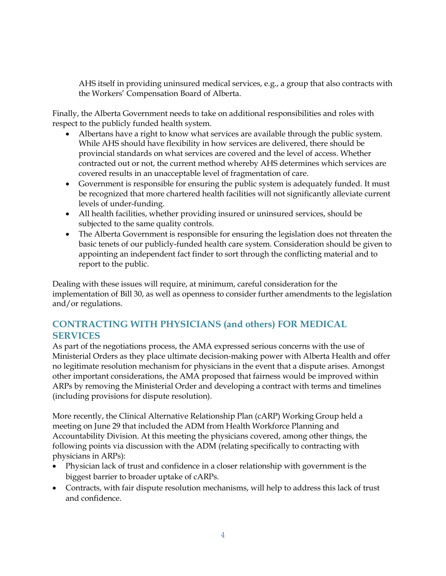AHS itself in providing uninsured medical services, e.g., a group that also contracts with the Workers' Compensation Board of Alberta.

Finally, the Alberta Government needs to take on additional responsibilities and roles with respect to the publicly funded health system.

- Albertans have a right to know what services are available through the public system. While AHS should have flexibility in how services are delivered, there should be provincial standards on what services are covered and the level of access. Whether contracted out or not, the current method whereby AHS determines which services are covered results in an unacceptable level of fragmentation of care.
- Government is responsible for ensuring the public system is adequately funded. It must be recognized that more chartered health facilities will not significantly alleviate current levels of under-funding.
- All health facilities, whether providing insured or uninsured services, should be subjected to the same quality controls.
- The Alberta Government is responsible for ensuring the legislation does not threaten the basic tenets of our publicly-funded health care system. Consideration should be given to appointing an independent fact finder to sort through the conflicting material and to report to the public.

Dealing with these issues will require, at minimum, careful consideration for the implementation of Bill 30, as well as openness to consider further amendments to the legislation and/or regulations.

## **CONTRACTING WITH PHYSICIANS (and others) FOR MEDICAL SERVICES**

As part of the negotiations process, the AMA expressed serious concerns with the use of Ministerial Orders as they place ultimate decision-making power with Alberta Health and offer no legitimate resolution mechanism for physicians in the event that a dispute arises. Amongst other important considerations, the AMA proposed that fairness would be improved within ARPs by removing the Ministerial Order and developing a contract with terms and timelines (including provisions for dispute resolution).

More recently, the Clinical Alternative Relationship Plan (cARP) Working Group held a meeting on June 29 that included the ADM from Health Workforce Planning and Accountability Division. At this meeting the physicians covered, among other things, the following points via discussion with the ADM (relating specifically to contracting with physicians in ARPs):

- Physician lack of trust and confidence in a closer relationship with government is the biggest barrier to broader uptake of cARPs.
- Contracts, with fair dispute resolution mechanisms, will help to address this lack of trust and confidence.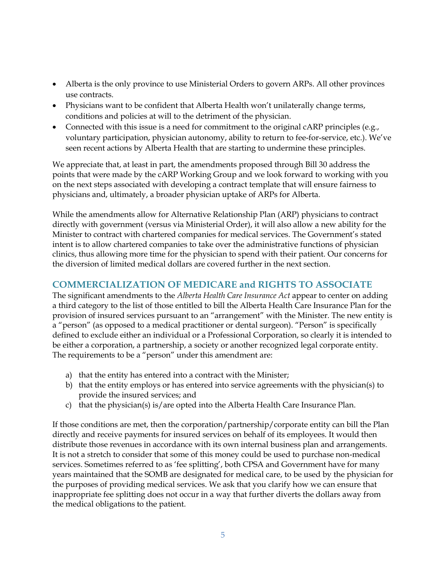- Alberta is the only province to use Ministerial Orders to govern ARPs. All other provinces use contracts.
- Physicians want to be confident that Alberta Health won't unilaterally change terms, conditions and policies at will to the detriment of the physician.
- Connected with this issue is a need for commitment to the original cARP principles (e.g., voluntary participation, physician autonomy, ability to return to fee-for-service, etc.). We've seen recent actions by Alberta Health that are starting to undermine these principles.

We appreciate that, at least in part, the amendments proposed through Bill 30 address the points that were made by the cARP Working Group and we look forward to working with you on the next steps associated with developing a contract template that will ensure fairness to physicians and, ultimately, a broader physician uptake of ARPs for Alberta.

While the amendments allow for Alternative Relationship Plan (ARP) physicians to contract directly with government (versus via Ministerial Order), it will also allow a new ability for the Minister to contract with chartered companies for medical services. The Government's stated intent is to allow chartered companies to take over the administrative functions of physician clinics, thus allowing more time for the physician to spend with their patient. Our concerns for the diversion of limited medical dollars are covered further in the next section.

## **COMMERCIALIZATION OF MEDICARE and RIGHTS TO ASSOCIATE**

The significant amendments to the *Alberta Health Care Insurance Act* appear to center on adding a third category to the list of those entitled to bill the Alberta Health Care Insurance Plan for the provision of insured services pursuant to an "arrangement" with the Minister. The new entity is a "person" (as opposed to a medical practitioner or dental surgeon). "Person" is specifically defined to exclude either an individual or a Professional Corporation, so clearly it is intended to be either a corporation, a partnership, a society or another recognized legal corporate entity. The requirements to be a "person" under this amendment are:

- a) that the entity has entered into a contract with the Minister;
- b) that the entity employs or has entered into service agreements with the physician(s) to provide the insured services; and
- c) that the physician(s) is/are opted into the Alberta Health Care Insurance Plan.

If those conditions are met, then the corporation/partnership/corporate entity can bill the Plan directly and receive payments for insured services on behalf of its employees. It would then distribute those revenues in accordance with its own internal business plan and arrangements. It is not a stretch to consider that some of this money could be used to purchase non-medical services. Sometimes referred to as 'fee splitting', both CPSA and Government have for many years maintained that the SOMB are designated for medical care, to be used by the physician for the purposes of providing medical services. We ask that you clarify how we can ensure that inappropriate fee splitting does not occur in a way that further diverts the dollars away from the medical obligations to the patient.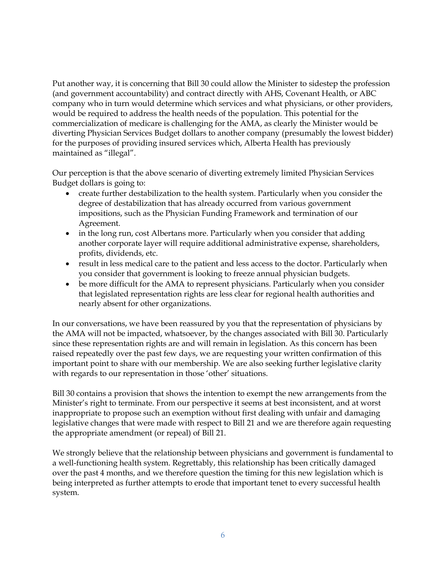Put another way, it is concerning that Bill 30 could allow the Minister to sidestep the profession (and government accountability) and contract directly with AHS, Covenant Health, or ABC company who in turn would determine which services and what physicians, or other providers, would be required to address the health needs of the population. This potential for the commercialization of medicare is challenging for the AMA, as clearly the Minister would be diverting Physician Services Budget dollars to another company (presumably the lowest bidder) for the purposes of providing insured services which, Alberta Health has previously maintained as "illegal".

Our perception is that the above scenario of diverting extremely limited Physician Services Budget dollars is going to:

- create further destabilization to the health system. Particularly when you consider the degree of destabilization that has already occurred from various government impositions, such as the Physician Funding Framework and termination of our Agreement.
- in the long run, cost Albertans more. Particularly when you consider that adding another corporate layer will require additional administrative expense, shareholders, profits, dividends, etc.
- result in less medical care to the patient and less access to the doctor. Particularly when you consider that government is looking to freeze annual physician budgets.
- be more difficult for the AMA to represent physicians. Particularly when you consider that legislated representation rights are less clear for regional health authorities and nearly absent for other organizations.

In our conversations, we have been reassured by you that the representation of physicians by the AMA will not be impacted, whatsoever, by the changes associated with Bill 30. Particularly since these representation rights are and will remain in legislation. As this concern has been raised repeatedly over the past few days, we are requesting your written confirmation of this important point to share with our membership. We are also seeking further legislative clarity with regards to our representation in those 'other' situations.

Bill 30 contains a provision that shows the intention to exempt the new arrangements from the Minister's right to terminate. From our perspective it seems at best inconsistent, and at worst inappropriate to propose such an exemption without first dealing with unfair and damaging legislative changes that were made with respect to Bill 21 and we are therefore again requesting the appropriate amendment (or repeal) of Bill 21.

We strongly believe that the relationship between physicians and government is fundamental to a well-functioning health system. Regrettably, this relationship has been critically damaged over the past 4 months, and we therefore question the timing for this new legislation which is being interpreted as further attempts to erode that important tenet to every successful health system.